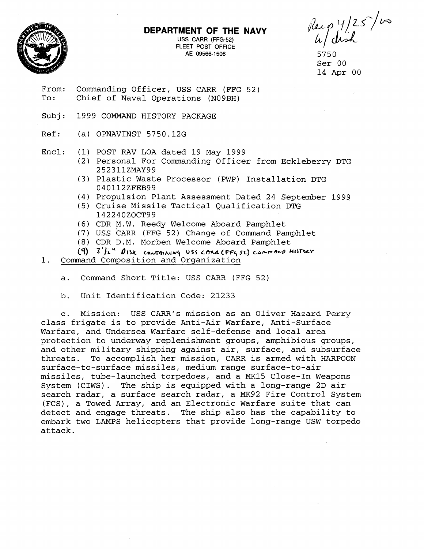



USS CARR **(FFG-52)**  FLEET POST OFFICE AE 09566-1506

Reip 1/25/00

Ser 00 14 Apr 00

- From: Commanding Officer, USS CARR (FFG 52)<br>To: Chief of Naval Operations (N09BH) Chief of Naval Operations (N09BH)
- Subj: 1999 COMMAND HISTORY PACKAGE
- Ref: (a) OPNAVINST 5750.12G
- Encl: (1) POST RAV LOA dated 19 May 1999
	- (2) Personal For Commanding Officer from Eckleberry DTG 252311ZMAY99
	- (3) Plastic Waste Processor (PWP) Installation DTG 040112ZFEB99
	- (4) Propulsion Plant Assessment Dated 24 September 1999
	- (5) Cruise Missile Tactical Qualification DTG 142240ZOCT99
	- (6) CDR M.W. Reedy Welcome Aboard Pamphlet
	- (7) USS CARR (FFG 52) Change of Command Pamphlet
	- (8) CDR D.M. Morben Welcome Aboard Pamphlet
	- $(9)$  3<sup>1</sup>/2<sup>"</sup> *DISK contrining USS CARA (FFG 52) COMMOND HISTORY*
- 1. Command Composition and Organization
	- a. Command Short Title: USS CARR (FFG 52)
	- b. Unit Identification Code: 21233

c. Mission: USS CARR's mission as an Oliver Hazard Perry class frigate is to provide Anti-Air Warfare, Anti-Surface Warfare, and Undersea Warfare self-defense and local area protection to underway replenishment groups, amphibious groups, and other military shipping against air, surface, and subsurface<br>threats. To accomplish her mission, CARR is armed with HARPOON To accomplish her mission, CARR is armed with HARPOON surface-to-surface missiles, medium range surface-to-air missiles, tube-launched torpedoes, and a MK15 Close-In Weapons System (CIWS). The ship is equipped with a long-range 2D air search radar, a surface search radar, a MK92 Fire Control System (FCS), a Towed Array, and an Electronic Warfare suite that can detect and engage threats. The ship also has the capability to embark two LAMPS helicopters that provide long-range USW torpedo attack.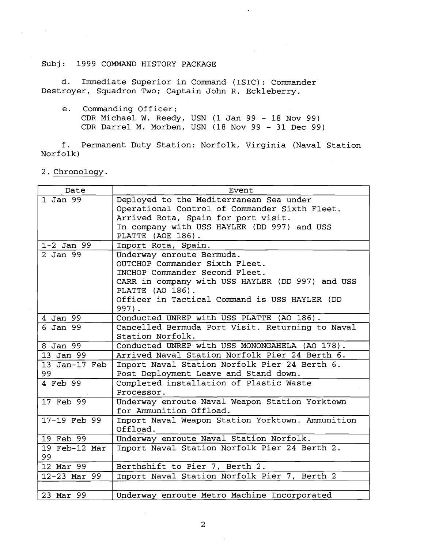d. Immediate Superior in Command (ISIC): Commander Destroyer, Squadron Two; Captain John R. Eckleberry.

e. Commanding Officer: CDR Michael W. Reedy, USN (1 Jan 99 - 18 Nov 99) CDR Darrel M. Morben, USN  $(18 \text{ Nov } 99 - 31 \text{ Dec } 99)$ 

f. Permanent Duty Station: Norfolk, Virginia (Naval Station Norfolk)

2. Chronology.

| Date             | Event                                            |
|------------------|--------------------------------------------------|
| 1 Jan 99         | Deployed to the Mediterranean Sea under          |
|                  | Operational Control of Commander Sixth Fleet.    |
|                  | Arrived Rota, Spain for port visit.              |
|                  | In company with USS HAYLER (DD 997) and USS      |
|                  | PLATTE (AOE 186).                                |
| $1 - 2$ Jan 99   | Inport Rota, Spain.                              |
| 2 Jan 99         | Underway enroute Bermuda.                        |
|                  | OUTCHOP Commander Sixth Fleet.                   |
|                  | INCHOP Commander Second Fleet.                   |
|                  | CARR in company with USS HAYLER (DD 997) and USS |
|                  | PLATTE (AO 186).                                 |
|                  | Officer in Tactical Command is USS HAYLER (DD    |
|                  | $997$ .                                          |
| 4 Jan $99$       | Conducted UNREP with USS PLATTE (AO 186).        |
| $6$ Jan $99$     | Cancelled Bermuda Port Visit. Returning to Naval |
|                  | Station Norfolk.                                 |
| 8 Jan 99         | Conducted UNREP with USS MONONGAHELA (AO 178).   |
| 13 Jan 99        | Arrived Naval Station Norfolk Pier 24 Berth 6.   |
| 13 Jan-17 Feb    | Inport Naval Station Norfolk Pier 24 Berth 6.    |
| 99               | Post Deployment Leave and Stand down.            |
| 4 Feb 99         | Completed installation of Plastic Waste          |
|                  | Processor.                                       |
| 17 Feb 99        | Underway enroute Naval Weapon Station Yorktown   |
|                  | for Ammunition Offload.                          |
| $17-19$ Feb $99$ | Inport Naval Weapon Station Yorktown. Ammunition |
|                  | Offload.                                         |
| 19 Feb 99        | Underway enroute Naval Station Norfolk.          |
| 19 Feb-12 Mar    | Inport Naval Station Norfolk Pier 24 Berth 2.    |
| 99               |                                                  |
| 12 Mar 99        | Berthshift to Pier 7, Berth 2.                   |
| 12-23 Mar 99     | Inport Naval Station Norfolk Pier 7, Berth 2     |
|                  |                                                  |
| 23 Mar 99        | Underway enroute Metro Machine Incorporated      |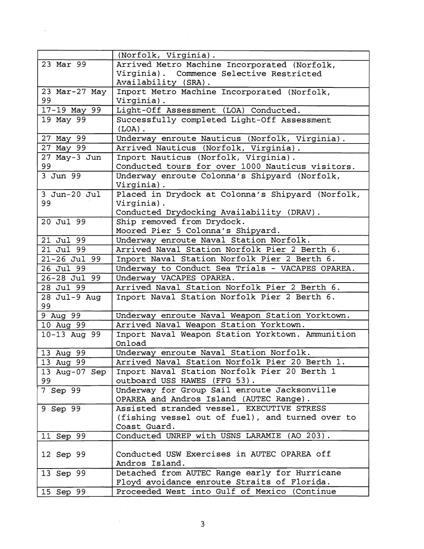|                    | (Norfolk, Virginia).                                       |
|--------------------|------------------------------------------------------------|
| 23 Mar 99          | Arrived Metro Machine Incorporated (Norfolk,               |
|                    | Virginia). Commence Selective Restricted                   |
|                    | Availability (SRA).                                        |
| 23 Mar-27 May      | Inport Metro Machine Incorporated (Norfolk,                |
| 99                 | Virginia).                                                 |
| 17-19 May 99       | Light-Off Assessment (LOA) Conducted.                      |
| 19 May 99          | Successfully completed Light-Off Assessment                |
|                    | $(LOA)$ .                                                  |
| 27 May 99          | Underway enroute Nauticus (Norfolk, Virginia).             |
| 27 May 99          | Arrived Nauticus (Norfolk, Virginia).                      |
| 27 May-3 Jun       | Inport Nauticus (Norfolk, Virginia).                       |
| 99                 | Conducted tours for over 1000 Nauticus visitors.           |
| 3 Jun 99           | Underway enroute Colonna's Shipyard (Norfolk,              |
|                    | Virginia).                                                 |
| $3$ Jun-20 Jul     | Placed in Drydock at Colonna's Shipyard (Norfolk,          |
| 99                 | Virginia).                                                 |
|                    | Conducted Drydocking Availability (DRAV).                  |
| 20 Jul 99          | Ship removed from Drydock.                                 |
|                    | Moored Pier 5 Colonna's Shipyard.                          |
| 21 Jul 99          | Underway enroute Naval Station Norfolk.                    |
| 21 Jul 99          | Arrived Naval Station Norfolk Pier 2 Berth 6.              |
| 21-26 Jul 99       | Inport Naval Station Norfolk Pier 2 Berth 6.               |
| 26 Jul 99          | Underway to Conduct Sea Trials - VACAPES OPAREA.           |
| 26-28 Jul 99       | Underway VACAPES OPAREA.                                   |
| 28 Jul 99          | Arrived Naval Station Norfolk Pier 2 Berth 6.              |
| 28 Jul-9 Aug<br>99 | Inport Naval Station Norfolk Pier 2 Berth 6.               |
| 9 Aug 99           | Underway enroute Naval Weapon Station Yorktown.            |
| 10 Aug 99          | Arrived Naval Weapon Station Yorktown.                     |
| 10-13 Aug 99       | Inport Naval Weapon Station Yorktown. Ammunition<br>Onload |
| 13 Aug 99          | Underway enroute Naval Station Norfolk.                    |
| 13 Aug 99          | Arrived Naval Station Norfolk Pier 20 Berth 1.             |
| 13 Aug-07 Sep      | Inport Naval Station Norfolk Pier 20 Berth 1               |
| 99                 | outboard USS HAWES (FFG 53).                               |
| 7 Sep 99           | Underway for Group Sail enroute Jacksonville               |
|                    | OPAREA and Andros Island (AUTEC Range).                    |
| 9 Sep 99           | Assisted stranded vessel, EXECUTIVE STRESS                 |
|                    | (fishing vessel out of fuel), and turned over to           |
|                    | Coast Guard.                                               |
| 11 Sep 99          | Conducted UNREP with USNS LARAMIE (AO 203).                |
|                    |                                                            |
| 12 Sep 99          | Conducted USW Exercises in AUTEC OPAREA off                |
|                    | Andros Island.                                             |
| 13 Sep 99          | Detached from AUTEC Range early for Hurricane              |
|                    | Floyd avoidance enroute Straits of Florida.                |
| 15 Sep 99          | Proceeded West into Gulf of Mexico (Continue               |

 $\bar{r}_i$ 

 $\bar{\beta}$ 

 $\hat{\mathcal{L}}$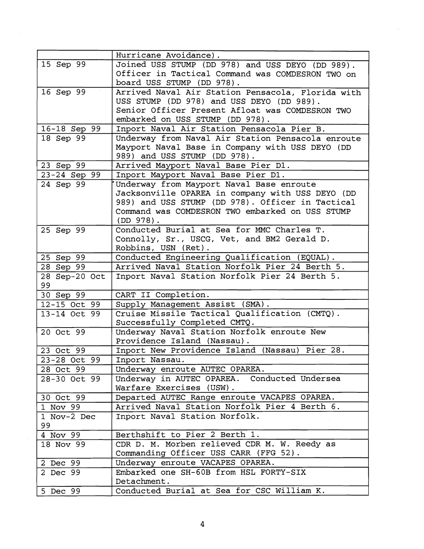|                     | Hurricane Avoidance).                             |
|---------------------|---------------------------------------------------|
| 15 Sep 99           | Joined USS STUMP (DD 978) and USS DEYO (DD 989).  |
|                     | Officer in Tactical Command was COMDESRON TWO on  |
|                     | board USS STUMP (DD 978).                         |
| 16 Sep 99           | Arrived Naval Air Station Pensacola, Florida with |
|                     | USS STUMP (DD 978) and USS DEYO (DD 989).         |
|                     | Senior Officer Present Afloat was COMDESRON TWO   |
|                     | embarked on USS STUMP (DD 978).                   |
| 16-18 Sep 99        | Inport Naval Air Station Pensacola Pier B.        |
| 18 Sep 99           | Underway from Naval Air Station Pensacola enroute |
|                     | Mayport Naval Base in Company with USS DEYO (DD   |
|                     | 989) and USS STUMP (DD 978).                      |
| 23 Sep 99           | Arrived Mayport Naval Base Pier D1.               |
| 23-24 Sep 99        | Inport Mayport Naval Base Pier D1.                |
| 24 Sep 99           | Underway from Mayport Naval Base enroute          |
|                     | Jacksonville OPAREA in company with USS DEYO (DD  |
|                     | 989) and USS STUMP (DD 978). Officer in Tactical  |
|                     | Command was COMDESRON TWO embarked on USS STUMP   |
|                     | $(DD 978)$ .                                      |
| 25 Sep 99           | Conducted Burial at Sea for MMC Charles T.        |
|                     | Connolly, Sr., USCG, Vet, and BM2 Gerald D.       |
|                     | Robbins, USN (Ret).                               |
| 25 Sep 99           | Conducted Engineering Qualification (EQUAL).      |
| 28 Sep 99           | Arrived Naval Station Norfolk Pier 24 Berth 5.    |
| 28 Sep-20 Oct<br>99 | Inport Naval Station Norfolk Pier 24 Berth 5.     |
| 30 Sep 99           | CART II Completion.                               |
| 12-15 Oct 99        | Supply Management Assist (SMA).                   |
| 13-14 Oct 99        | Cruise Missile Tactical Qualification (CMTQ).     |
|                     | Successfully Completed CMTQ.                      |
| 20 Oct 99           | Underway Naval Station Norfolk enroute New        |
|                     | Providence Island (Nassau).                       |
| 23 Oct 99           | Inport New Providence Island (Nassau) Pier 28.    |
| 23-28 Oct 99        | Inport Nassau.                                    |
| 28 Oct 99           | Underway enroute AUTEC OPAREA.                    |
| 28-30 Oct 99        | Underway in AUTEC OPAREA. Conducted Undersea      |
|                     | Warfare Exercises (USW).                          |
| 30 Oct 99           | Departed AUTEC Range enroute VACAPES OPAREA.      |
| $1$ Nov 99          | Arrived Naval Station Norfolk Pier 4 Berth 6.     |
| 1 Nov-2 Dec<br>99   | Inport Naval Station Norfolk.                     |
| 4 Nov 99            | Berthshift to Pier 2 Berth 1.                     |
| 18 Nov 99           | CDR D. M. Morben relieved CDR M. W. Reedy as      |
|                     | Commanding Officer USS CARR (FFG 52).             |
| 2 Dec 99            | Underway enroute VACAPES OPAREA.                  |
| 2 Dec 99            | Embarked one SH-60B from HSL FORTY-SIX            |
|                     | Detachment.                                       |
| 5 Dec 99            | Conducted Burial at Sea for CSC William K.        |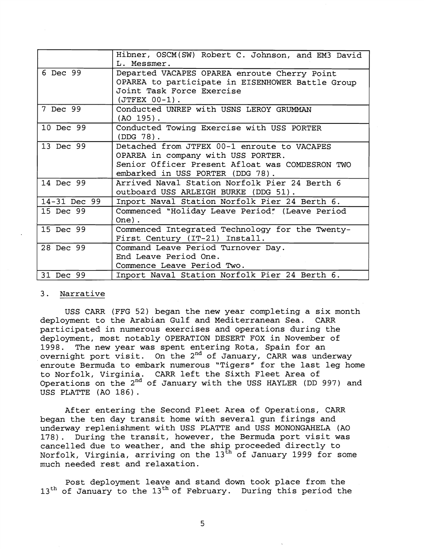|              | Hibner, OSCM(SW) Robert C. Johnson, and EM3 David<br>L. Messmer.                                                                                                         |
|--------------|--------------------------------------------------------------------------------------------------------------------------------------------------------------------------|
| 6 Dec $99$   | Departed VACAPES OPAREA enroute Cherry Point<br>OPAREA to participate in EISENHOWER Battle Group<br>Joint Task Force Exercise<br>$(JTFEX 00-1)$ .                        |
| 7 Dec 99     | Conducted UNREP with USNS LEROY GRUMMAN<br>$(AO 195)$ .                                                                                                                  |
| 10 Dec 99    | Conducted Towing Exercise with USS PORTER<br>$(DDG 78)$ .                                                                                                                |
| 13 Dec 99    | Detached from JTFEX 00-1 enroute to VACAPES<br>OPAREA in company with USS PORTER.<br>Senior Officer Present Afloat was COMDESRON TWO<br>embarked in USS PORTER (DDG 78). |
| 14 Dec 99    | Arrived Naval Station Norfolk Pier 24 Berth 6<br>outboard USS ARLEIGH BURKE (DDG 51).                                                                                    |
| 14-31 Dec 99 | Inport Naval Station Norfolk Pier 24 Berth 6.                                                                                                                            |
| 15 Dec 99    | Commenced "Holiday Leave Period" (Leave Period<br>$One)$ .                                                                                                               |
| 15 Dec 99    | Commenced Integrated Technology for the Twenty-<br>First Century (IT-21) Install.                                                                                        |
| 28 Dec 99    | Command Leave Period Turnover Day.<br>End Leave Period One.<br>Commence Leave Period Two.                                                                                |
| 31 Dec 99    | Inport Naval Station Norfolk Pier 24 Berth 6.                                                                                                                            |

### 3. Narrative

USS CARR (FFG 52) began the new year completing a six month deployment to the Arabian Gulf and Mediterranean Sea. CARR participated in numerous exercises and operations during the deployment, most notably OPERATION DESERT FOX in November of 1998. The new year was spent entering Rota, Spain for an overnight port visit. On the  $2^{nd}$  of January, CARR was underway enroute Bermuda to embark numerous "Tigers" for the last leg home to Norfolk, Virginia. CARR left the Sixth Fleet Area of Operations on the 2nd of January with the USS HAYLER (DD 997) and USS PLATTE (A0 186) .

After entering the Second Fleet Area of Operations, CARR began the ten day transit home with several gun firings and underway replenishment with USS PLATTE and USS MONONGAHELA (A0 178). During the transit, however, the Bermuda port visit was cancelled due to weather, and the ship proceeded directly to Norfolk, Virginia, arriving on the  $13^{\text{th}}$  of January 1999 for some much needed rest and relaxation.

Post deployment leave and stand down took place from the 13<sup>th</sup> of January to the 13<sup>th</sup> of February. During this period the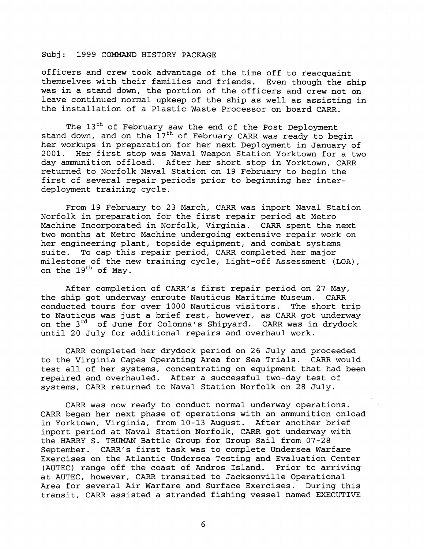officers and crew took advantage of the time off to reacquaint themselves with their families and friends. Even though the ship was in a stand down, the portion of the officers and crew not on leave continued normal upkeep of the ship as well as assisting in the installation of a Plastic Waste Processor on board CARR.

The 13<sup>th</sup> of February saw the end of the Post Deployment stand down, and on the  $17<sup>th</sup>$  of February CARR was ready to begin her workups in preparation for her next Deployment in January of 2001. Her first stop was Naval Weapon Station Yorktown for a two day ammunition offload. After her short stop in Yorktown, CARR returned to Norfolk Naval Station on 19 February to begin the first of several repair periods prior to beginning her interdeployment training cycle.

From 19 February to 23 March, CARR was inport Naval Station Norfolk in preparation for the first repair period at Metro Machine Incorporated in Norfolk, Virginia. CARR spent the next two months at Metro Machine undergoing extensive repair work on her engineering plant, topside equipment, and combat systems suite. To cap this repair period, CARR completed her major milestone of the new training cycle, Light-off Assessment (LOA), on the  $19^{th}$  of May.

After completion of CARR's first repair period on 27 May, the ship got underway enroute Nauticus Maritime Museum. CARR conducted tours for over 1000 Nauticus visitors. The short trip to Nauticus was just a brief rest, however, as CARR got underway on the 3<sup>rd</sup> of June for Colonna's Shipyard. CARR was in drydock until 20 July for additional repairs and overhaul work.

CARR completed her drydock period on 26 July and proceeded to the Virginia Capes Operating Area for Sea Trials. CARR would test all of her systems, concentrating on equipment that had been repaired and overhauled. After a successful two-day test of systems, CARR returned to Naval Station Norfolk on 28 July.

CARR was now ready to conduct normal underway operations. CARR began her next phase of operations with an ammunition onload in Yorktown, Virginia, from 10-13 August. After another brief inport period at Naval Station Norfolk, CARR got underway with the HARRY S. TRUMAN Battle Group for Group Sail from 07-28 September. CARR's first task was to complete Undersea Warfare Exercises on the Atlantic Undersea Testing and Evaluation Center (AUTEC) range off the coast of Andros Island. Prior to arriving at AUTEC, however, CARR transited to Jacksonville Operational Area for several Air Warfare and Surface Exercises. During this transit, CARR assisted a stranded fishing vessel named EXECUTIVE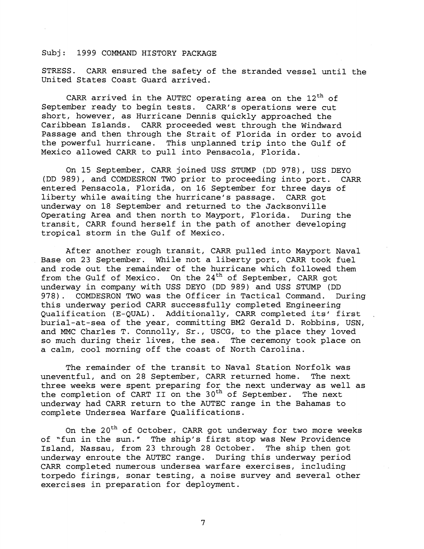STRESS. CARR ensured the safety of the stranded vessel until the United States Coast Guard arrived.

CARR arrived in the AUTEC operating area on the  $12^{\text{th}}$  of September ready to begin tests. CARR's operations were cut short, however, as Hurricane Dennis quickly approached the Caribbean Islands. CARR proceeded west through the Windward Passage and then through the Strait of Florida in order to avoid the powerful hurricane. This unplanned trip into the Gulf of Mexico allowed CARR to pull into Pensacola, Florida.

On 15 September, CARR joined USS STUMP (DD 978) , USS DEYO (DD 989), and COMDESRON TWO prior to proceeding into port. CARR entered Pensacola, Florida, on 16 September for three days of liberty while awaiting the hurricane's passage. CARR got underway on 18 September and returned to the Jacksonville Operating Area and then north to Mayport, Florida. During the transit, CARR found herself in the path of another developing tropical storm in the Gulf of Mexico.

After another rough transit, CARR pulled into Mayport Naval Base on 23 September. While not a liberty port, CARR took fuel and rode out the remainder of the hurricane which followed them from the Gulf of Mexico. On the  $24<sup>th</sup>$  of September, CARR got underway in company with USS DEYO (DD 989) and USS STUMP (DD 978). COMDESRON TWO was the Officer in Tactical Command. During this underway period CARR successfully completed Engineering Qualification (E-QUAL) . Additionally, CARR completed its' first , burial-at-sea of the year, committing BM2 Gerald D. Robbins, USN, and MMC Charles T. Connolly, Sr., USCG, to the place they loved so much during their lives, the sea. The ceremony took place on a calm, cool morning off the coast of North Carolina.

The remainder of the transit to Naval Station Norfolk was uneventful, and on 28 September, CARR returned home. The next three weeks were spent preparing for the next underway as well as the completion of CART **I1** on the 3oth of September. The next underway had CARR return to the AUTEC range in the Bahamas to complete Undersea Warfare Qualifications.

On the  $20^{th}$  of October, CARR got underway for two more weeks of "fun in the sun." The ship's first stop was New Providence Island, Nassau, from 23 through 28 October. The ship then got underway enroute the AUTEC range. During this underway period CARR completed numerous undersea warfare exercises, including torpedo firings, sonar testing, a noise survey and several other exercises in preparation for deployment.

 $7\overline{ }$